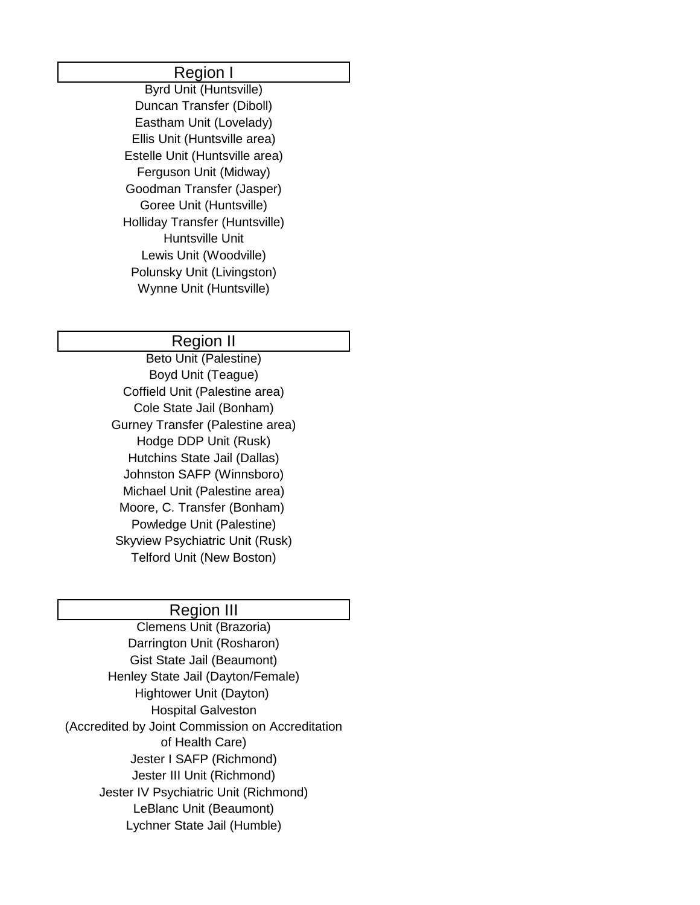#### Region I

Byrd Unit (Huntsville) Duncan Transfer (Diboll) Eastham Unit (Lovelady) Ellis Unit (Huntsville area) Estelle Unit (Huntsville area) Ferguson Unit (Midway) Goodman Transfer (Jasper) Goree Unit (Huntsville) Holliday Transfer (Huntsville) Huntsville Unit Lewis Unit (Woodville) Polunsky Unit (Livingston) Wynne Unit (Huntsville)

#### Region II

Beto Unit (Palestine) Boyd Unit (Teague) Coffield Unit (Palestine area) Cole State Jail (Bonham) Gurney Transfer (Palestine area) Hodge DDP Unit (Rusk) Hutchins State Jail (Dallas) Johnston SAFP (Winnsboro) Michael Unit (Palestine area) Moore, C. Transfer (Bonham) Powledge Unit (Palestine) Skyview Psychiatric Unit (Rusk) Telford Unit (New Boston)

## Region III

Clemens Unit (Brazoria) Darrington Unit (Rosharon) Gist State Jail (Beaumont) Henley State Jail (Dayton/Female) Hightower Unit (Dayton) Hospital Galveston (Accredited by Joint Commission on Accreditation of Health Care) Jester I SAFP (Richmond) Jester III Unit (Richmond) Jester IV Psychiatric Unit (Richmond) LeBlanc Unit (Beaumont) Lychner State Jail (Humble)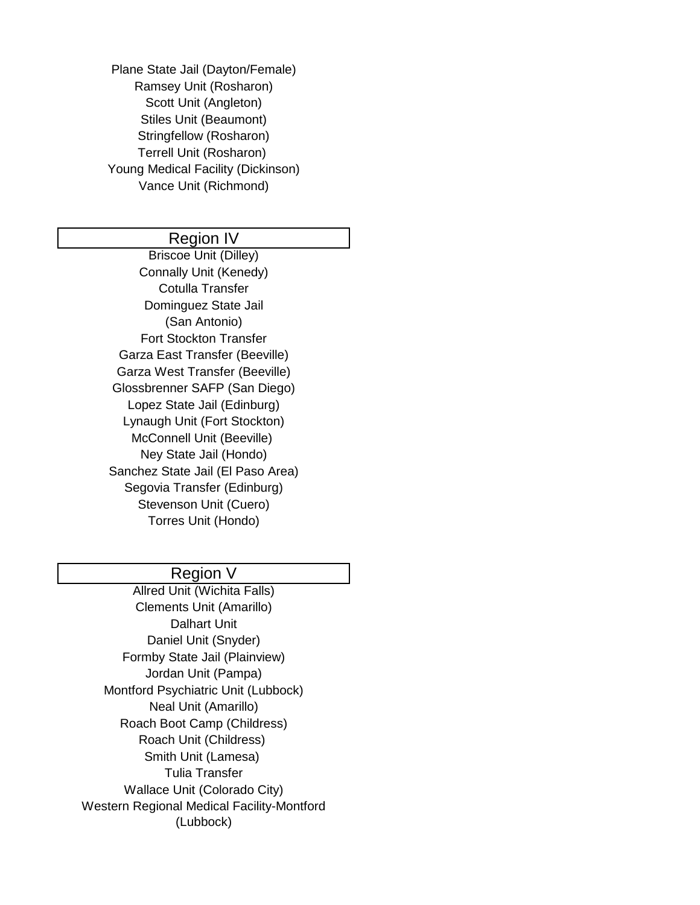Plane State Jail (Dayton/Female) Ramsey Unit (Rosharon) Scott Unit (Angleton) Stiles Unit (Beaumont) Stringfellow (Rosharon) Terrell Unit (Rosharon) Young Medical Facility (Dickinson) Vance Unit (Richmond)

## Region IV

Briscoe Unit (Dilley) Connally Unit (Kenedy) Cotulla Transfer Dominguez State Jail (San Antonio) Fort Stockton Transfer Garza East Transfer (Beeville) Garza West Transfer (Beeville) Glossbrenner SAFP (San Diego) Lopez State Jail (Edinburg) Lynaugh Unit (Fort Stockton) McConnell Unit (Beeville) Ney State Jail (Hondo) Sanchez State Jail (El Paso Area) Segovia Transfer (Edinburg) Stevenson Unit (Cuero) Torres Unit (Hondo)

### Region V

Allred Unit (Wichita Falls) Clements Unit (Amarillo) Dalhart Unit Daniel Unit (Snyder) Formby State Jail (Plainview) Jordan Unit (Pampa) Montford Psychiatric Unit (Lubbock) Neal Unit (Amarillo) Roach Boot Camp (Childress) Roach Unit (Childress) Smith Unit (Lamesa) Tulia Transfer Wallace Unit (Colorado City) Western Regional Medical Facility-Montford (Lubbock)